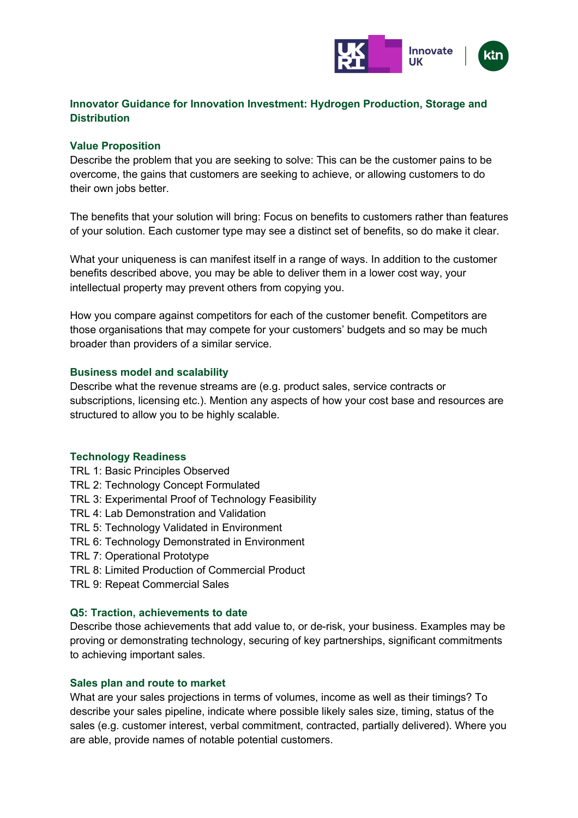

# **Innovator Guidance for Innovation Investment: Hydrogen Production, Storage and Distribution**

## **Value Proposition**

Describe the problem that you are seeking to solve: This can be the customer pains to be overcome, the gains that customers are seeking to achieve, or allowing customers to do their own jobs better.

The benefits that your solution will bring: Focus on benefits to customers rather than features of your solution. Each customer type may see a distinct set of benefits, so do make it clear.

What your uniqueness is can manifest itself in a range of ways. In addition to the customer benefits described above, you may be able to deliver them in a lower cost way, your intellectual property may prevent others from copying you.

How you compare against competitors for each of the customer benefit. Competitors are those organisations that may compete for your customers' budgets and so may be much broader than providers of a similar service.

#### **Business model and scalability**

Describe what the revenue streams are (e.g. product sales, service contracts or subscriptions, licensing etc.). Mention any aspects of how your cost base and resources are structured to allow you to be highly scalable.

## **Technology Readiness**

- TRL 1: Basic Principles Observed
- TRL 2: Technology Concept Formulated
- TRL 3: Experimental Proof of Technology Feasibility
- TRL 4: Lab Demonstration and Validation
- TRL 5: Technology Validated in Environment
- TRL 6: Technology Demonstrated in Environment
- TRL 7: Operational Prototype
- TRL 8: Limited Production of Commercial Product
- TRL 9: Repeat Commercial Sales

#### **Q5: Traction, achievements to date**

Describe those achievements that add value to, or de-risk, your business. Examples may be proving or demonstrating technology, securing of key partnerships, significant commitments to achieving important sales.

#### **Sales plan and route to market**

What are your sales projections in terms of volumes, income as well as their timings? To describe your sales pipeline, indicate where possible likely sales size, timing, status of the sales (e.g. customer interest, verbal commitment, contracted, partially delivered). Where you are able, provide names of notable potential customers.